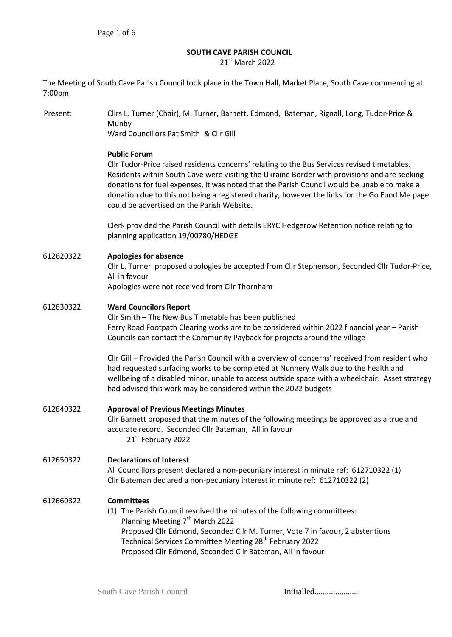# **SOUTH CAVE PARISH COUNCIL**

21st March 2022

The Meeting of South Cave Parish Council took place in the Town Hall, Market Place, South Cave commencing at 7:00pm.

Present: Cllrs L. Turner (Chair), M. Turner, Barnett, Edmond, Bateman, Rignall, Long, Tudor-Price & Munby Ward Councillors Pat Smith & Cllr Gill **Public Forum**  Cllr Tudor-Price raised residents concerns' relating to the Bus Services revised timetables. Residents within South Cave were visiting the Ukraine Border with provisions and are seeking donations for fuel expenses, it was noted that the Parish Council would be unable to make a donation due to this not being a registered charity, however the links for the Go Fund Me page could be advertised on the Parish Website. Clerk provided the Parish Council with details ERYC Hedgerow Retention notice relating to planning application 19/00780/HEDGE 612620322 **Apologies for absence** Cllr L. Turner proposed apologies be accepted from Cllr Stephenson, Seconded Cllr Tudor-Price, All in favour Apologies were not received from Cllr Thornham 612630322 **Ward Councilors Report** Cllr Smith – The New Bus Timetable has been published Ferry Road Footpath Clearing works are to be considered within 2022 financial year – Parish Councils can contact the Community Payback for projects around the village Cllr Gill – Provided the Parish Council with a overview of concerns' received from resident who had requested surfacing works to be completed at Nunnery Walk due to the health and wellbeing of a disabled minor, unable to access outside space with a wheelchair. Asset strategy had advised this work may be considered within the 2022 budgets 612640322 **Approval of Previous Meetings Minutes**  Cllr Barnett proposed that the minutes of the following meetings be approved as a true and accurate record. Seconded Cllr Bateman, All in favour 21st February 2022 612650322 **Declarations of Interest** All Councillors present declared a non-pecuniary interest in minute ref: 612710322 (1) Cllr Bateman declared a non-pecuniary interest in minute ref: 612710322 (2) 612660322 **Committees** (1) The Parish Council resolved the minutes of the following committees: Planning Meeting  $7<sup>th</sup>$  March 2022 Proposed Cllr Edmond, Seconded Cllr M. Turner, Vote 7 in favour, 2 abstentions Technical Services Committee Meeting 28<sup>th</sup> February 2022 Proposed Cllr Edmond, Seconded Cllr Bateman, All in favour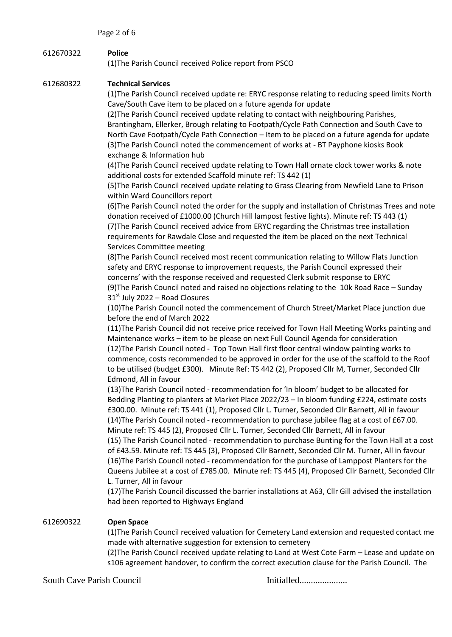# 612670322 **Police**

(1)The Parish Council received Police report from PSCO

## 612680322 **Technical Services**

(1)The Parish Council received update re: ERYC response relating to reducing speed limits North Cave/South Cave item to be placed on a future agenda for update

(2)The Parish Council received update relating to contact with neighbouring Parishes, Brantingham, Ellerker, Brough relating to Footpath/Cycle Path Connection and South Cave to North Cave Footpath/Cycle Path Connection – Item to be placed on a future agenda for update (3)The Parish Council noted the commencement of works at - BT Payphone kiosks Book exchange & Information hub

(4)The Parish Council received update relating to Town Hall ornate clock tower works & note additional costs for extended Scaffold minute ref: TS 442 (1)

(5)The Parish Council received update relating to Grass Clearing from Newfield Lane to Prison within Ward Councillors report

(6)The Parish Council noted the order for the supply and installation of Christmas Trees and note donation received of £1000.00 (Church Hill lampost festive lights). Minute ref: TS 443 (1) (7)The Parish Council received advice from ERYC regarding the Christmas tree installation requirements for Rawdale Close and requested the item be placed on the next Technical Services Committee meeting

(8)The Parish Council received most recent communication relating to Willow Flats Junction safety and ERYC response to improvement requests, the Parish Council expressed their concerns' with the response received and requested Clerk submit response to ERYC (9)The Parish Council noted and raised no objections relating to the 10k Road Race – Sunday  $31<sup>st</sup>$  July 2022 – Road Closures

(10)The Parish Council noted the commencement of Church Street/Market Place junction due before the end of March 2022

(11)The Parish Council did not receive price received for Town Hall Meeting Works painting and Maintenance works – item to be please on next Full Council Agenda for consideration (12)The Parish Council noted - Top Town Hall first floor central window painting works to commence, costs recommended to be approved in order for the use of the scaffold to the Roof to be utilised (budget £300). Minute Ref: TS 442 (2), Proposed Cllr M, Turner, Seconded Cllr Edmond, All in favour

(13)The Parish Council noted - recommendation for 'In bloom' budget to be allocated for Bedding Planting to planters at Market Place 2022/23 – In bloom funding £224, estimate costs £300.00. Minute ref: TS 441 (1), Proposed Cllr L. Turner, Seconded Cllr Barnett, All in favour (14)The Parish Council noted - recommendation to purchase jubilee flag at a cost of £67.00. Minute ref: TS 445 (2), Proposed Cllr L. Turner, Seconded Cllr Barnett, All in favour

(15) The Parish Council noted - recommendation to purchase Bunting for the Town Hall at a cost of £43.59. Minute ref: TS 445 (3), Proposed Cllr Barnett, Seconded Cllr M. Turner, All in favour (16)The Parish Council noted - recommendation for the purchase of Lamppost Planters for the Queens Jubilee at a cost of £785.00. Minute ref: TS 445 (4), Proposed Cllr Barnett, Seconded Cllr L. Turner, All in favour

(17)The Parish Council discussed the barrier installations at A63, Cllr Gill advised the installation had been reported to Highways England

# 612690322 **Open Space**

(1)The Parish Council received valuation for Cemetery Land extension and requested contact me made with alternative suggestion for extension to cemetery

(2)The Parish Council received update relating to Land at West Cote Farm – Lease and update on s106 agreement handover, to confirm the correct execution clause for the Parish Council. The

South Cave Parish Council Initialled.....................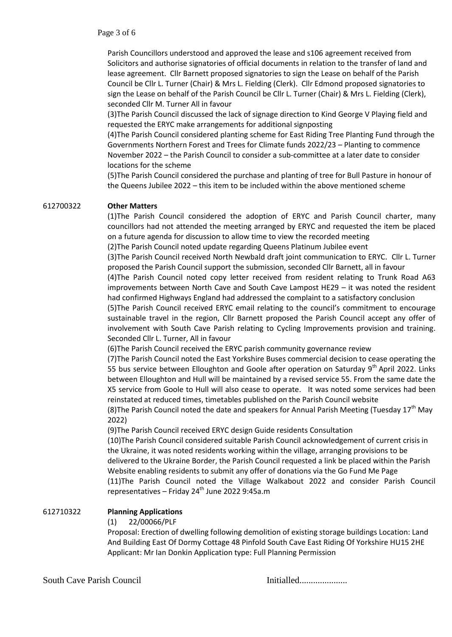Parish Councillors understood and approved the lease and s106 agreement received from Solicitors and authorise signatories of official documents in relation to the transfer of land and lease agreement. Cllr Barnett proposed signatories to sign the Lease on behalf of the Parish Council be Cllr L. Turner (Chair) & Mrs L. Fielding (Clerk). Cllr Edmond proposed signatories to sign the Lease on behalf of the Parish Council be Cllr L. Turner (Chair) & Mrs L. Fielding (Clerk), seconded Cllr M. Turner All in favour

(3)The Parish Council discussed the lack of signage direction to Kind George V Playing field and requested the ERYC make arrangements for additional signposting

(4)The Parish Council considered planting scheme for East Riding Tree Planting Fund through the Governments Northern Forest and Trees for Climate funds 2022/23 – Planting to commence November 2022 – the Parish Council to consider a sub-committee at a later date to consider locations for the scheme

(5)The Parish Council considered the purchase and planting of tree for Bull Pasture in honour of the Queens Jubilee 2022 – this item to be included within the above mentioned scheme

### 612700322 **Other Matters**

(1)The Parish Council considered the adoption of ERYC and Parish Council charter, many councillors had not attended the meeting arranged by ERYC and requested the item be placed on a future agenda for discussion to allow time to view the recorded meeting

(2)The Parish Council noted update regarding Queens Platinum Jubilee event

(3)The Parish Council received North Newbald draft joint communication to ERYC. Cllr L. Turner proposed the Parish Council support the submission, seconded Cllr Barnett, all in favour

(4)The Parish Council noted copy letter received from resident relating to Trunk Road A63 improvements between North Cave and South Cave Lampost HE29 – it was noted the resident had confirmed Highways England had addressed the complaint to a satisfactory conclusion

(5)The Parish Council received ERYC email relating to the council's commitment to encourage sustainable travel in the region, Cllr Barnett proposed the Parish Council accept any offer of involvement with South Cave Parish relating to Cycling Improvements provision and training. Seconded Cllr L. Turner, All in favour

(6)The Parish Council received the ERYC parish community governance review

(7)The Parish Council noted the East Yorkshire Buses commercial decision to cease operating the 55 bus service between Elloughton and Goole after operation on Saturday 9th April 2022. Links between Elloughton and Hull will be maintained by a revised service 55. From the same date the X5 service from Goole to Hull will also cease to operate. It was noted some services had been reinstated at reduced times, timetables published on the Parish Council website

(8) The Parish Council noted the date and speakers for Annual Parish Meeting (Tuesday  $17<sup>th</sup>$  May 2022)

(9)The Parish Council received ERYC design Guide residents Consultation

(10)The Parish Council considered suitable Parish Council acknowledgement of current crisis in the Ukraine, it was noted residents working within the village, arranging provisions to be delivered to the Ukraine Border, the Parish Council requested a link be placed within the Parish Website enabling residents to submit any offer of donations via the Go Fund Me Page (11)The Parish Council noted the Village Walkabout 2022 and consider Parish Council representatives – Friday 24<sup>th</sup> June 2022 9:45a.m

#### 612710322 **Planning Applications**

#### (1) 22/00066/PLF

Proposal: Erection of dwelling following demolition of existing storage buildings Location: Land And Building East Of Dormy Cottage 48 Pinfold South Cave East Riding Of Yorkshire HU15 2HE Applicant: Mr Ian Donkin Application type: Full Planning Permission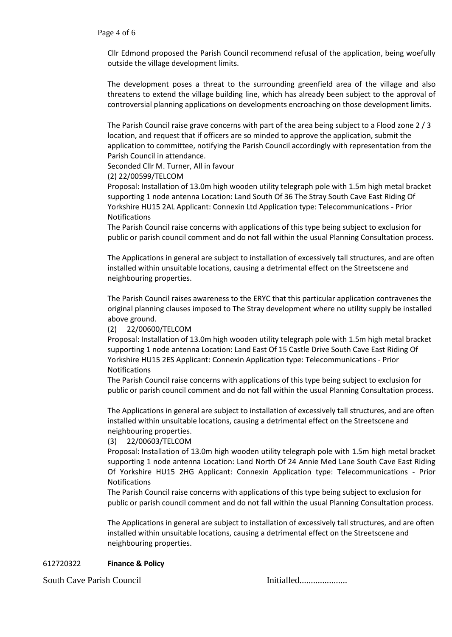Cllr Edmond proposed the Parish Council recommend refusal of the application, being woefully outside the village development limits.

The development poses a threat to the surrounding greenfield area of the village and also threatens to extend the village building line, which has already been subject to the approval of controversial planning applications on developments encroaching on those development limits.

The Parish Council raise grave concerns with part of the area being subject to a Flood zone 2 / 3 location, and request that if officers are so minded to approve the application, submit the application to committee, notifying the Parish Council accordingly with representation from the Parish Council in attendance.

Seconded Cllr M. Turner, All in favour

(2) 22/00599/TELCOM

Proposal: Installation of 13.0m high wooden utility telegraph pole with 1.5m high metal bracket supporting 1 node antenna Location: Land South Of 36 The Stray South Cave East Riding Of Yorkshire HU15 2AL Applicant: Connexin Ltd Application type: Telecommunications - Prior Notifications

The Parish Council raise concerns with applications of this type being subject to exclusion for public or parish council comment and do not fall within the usual Planning Consultation process.

The Applications in general are subject to installation of excessively tall structures, and are often installed within unsuitable locations, causing a detrimental effect on the Streetscene and neighbouring properties.

The Parish Council raises awareness to the ERYC that this particular application contravenes the original planning clauses imposed to The Stray development where no utility supply be installed above ground.

(2) 22/00600/TELCOM

Proposal: Installation of 13.0m high wooden utility telegraph pole with 1.5m high metal bracket supporting 1 node antenna Location: Land East Of 15 Castle Drive South Cave East Riding Of Yorkshire HU15 2ES Applicant: Connexin Application type: Telecommunications - Prior Notifications

The Parish Council raise concerns with applications of this type being subject to exclusion for public or parish council comment and do not fall within the usual Planning Consultation process.

The Applications in general are subject to installation of excessively tall structures, and are often installed within unsuitable locations, causing a detrimental effect on the Streetscene and neighbouring properties.

(3) 22/00603/TELCOM

Proposal: Installation of 13.0m high wooden utility telegraph pole with 1.5m high metal bracket supporting 1 node antenna Location: Land North Of 24 Annie Med Lane South Cave East Riding Of Yorkshire HU15 2HG Applicant: Connexin Application type: Telecommunications - Prior Notifications

The Parish Council raise concerns with applications of this type being subject to exclusion for public or parish council comment and do not fall within the usual Planning Consultation process.

The Applications in general are subject to installation of excessively tall structures, and are often installed within unsuitable locations, causing a detrimental effect on the Streetscene and neighbouring properties.

# 612720322 **Finance & Policy**

South Cave Parish Council Initialled.....................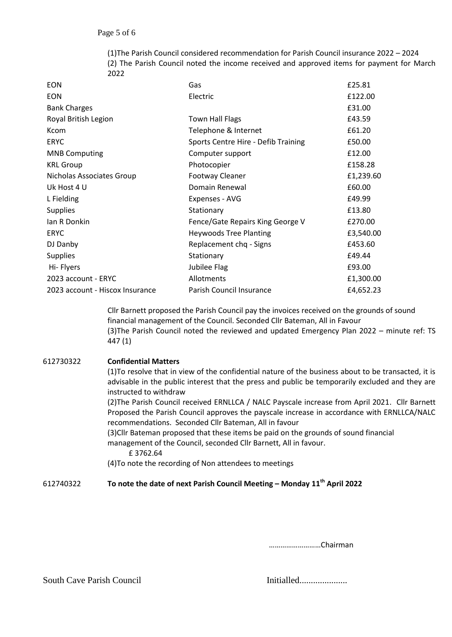(1)The Parish Council considered recommendation for Parish Council insurance 2022 – 2024 (2) The Parish Council noted the income received and approved items for payment for March 2022

| <b>EON</b>                      | Gas                                 | £25.81    |
|---------------------------------|-------------------------------------|-----------|
| <b>EON</b>                      | Electric                            | £122.00   |
| <b>Bank Charges</b>             |                                     | £31.00    |
| Royal British Legion            | <b>Town Hall Flags</b>              | £43.59    |
| <b>Kcom</b>                     | Telephone & Internet                | £61.20    |
| <b>ERYC</b>                     | Sports Centre Hire - Defib Training | £50.00    |
| <b>MNB Computing</b>            | Computer support                    | £12.00    |
| <b>KRL Group</b>                | Photocopier                         | £158.28   |
| Nicholas Associates Group       | <b>Footway Cleaner</b>              | £1,239.60 |
| Uk Host 4 U                     | Domain Renewal                      | £60.00    |
| L Fielding                      | Expenses - AVG                      | £49.99    |
| <b>Supplies</b>                 | Stationary                          | £13.80    |
| Ian R Donkin                    | Fence/Gate Repairs King George V    | £270.00   |
| <b>ERYC</b>                     | <b>Heywoods Tree Planting</b>       | £3,540.00 |
| DJ Danby                        | Replacement chq - Signs             | £453.60   |
| <b>Supplies</b>                 | Stationary                          | £49.44    |
| Hi-Flyers                       | Jubilee Flag                        | £93.00    |
| 2023 account - ERYC             | Allotments                          | £1,300.00 |
| 2023 account - Hiscox Insurance | Parish Council Insurance            | £4,652.23 |

Cllr Barnett proposed the Parish Council pay the invoices received on the grounds of sound financial management of the Council. Seconded Cllr Bateman, All in Favour (3)The Parish Council noted the reviewed and updated Emergency Plan 2022 – minute ref: TS 447 (1)

## 612730322 **Confidential Matters**

(1)To resolve that in view of the confidential nature of the business about to be transacted, it is advisable in the public interest that the press and public be temporarily excluded and they are instructed to withdraw

(2)The Parish Council received ERNLLCA / NALC Payscale increase from April 2021. Cllr Barnett Proposed the Parish Council approves the payscale increase in accordance with ERNLLCA/NALC recommendations. Seconded Cllr Bateman, All in favour

(3)Cllr Bateman proposed that these items be paid on the grounds of sound financial management of the Council, seconded Cllr Barnett, All in favour.

£ 3762.64

(4)To note the recording of Non attendees to meetings

## 612740322 **To note the date of next Parish Council Meeting – Monday 11th April 2022**

………………………Chairman

South Cave Parish Council Initialled.....................